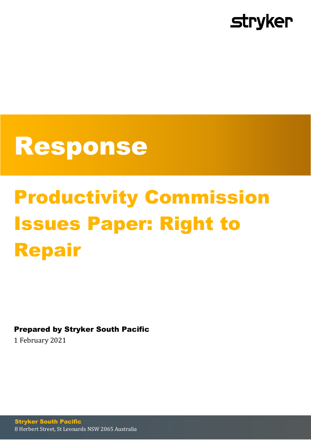

## Response

# Productivity Commission Issues Paper: Right to Repair

Prepared by Stryker South Pacific

1 February 2021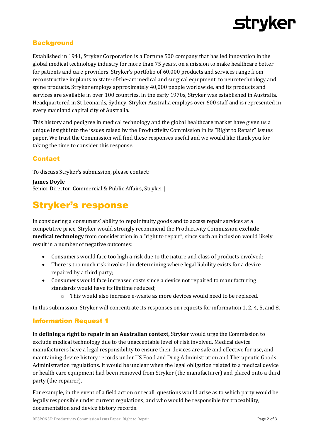

#### **Background**

Established in 1941, Stryker Corporation is a Fortune 500 company that has led innovation in the global medical technology industry for more than 75 years, on a mission to make healthcare better for patients and care providers. Stryker's portfolio of 60,000 products and services range from reconstructive implants to state-of-the-art medical and surgical equipment, to neurotechnology and spine products. Stryker employs approximately 40,000 people worldwide, and its products and services are available in over 100 countries. In the early 1970s, Stryker was established in Australia. Headquartered in St Leonards, Sydney, Stryker Australia employs over 600 staff and is represented in every mainland capital city of Australia.

This history and pedigree in medical technology and the global healthcare market have given us a unique insight into the issues raised by the Productivity Commission in its "Right to Repair" Issues paper. We trust the Commission will find these responses useful and we would like thank you for taking the time to consider this response.

#### **Contact**

To discuss Stryker's submission, please contact:

**James Doyle** Senior Director, Commercial & Public Affairs, Stryker |

### Stryker's response

In considering a consumers' ability to repair faulty goods and to access repair services at a competitive price, Stryker would strongly recommend the Productivity Commission **exclude medical technology** from consideration in a "right to repair", since such an inclusion would likely result in a number of negative outcomes:

- Consumers would face too high a risk due to the nature and class of products involved;
- There is too much risk involved in determining where legal liability exists for a device repaired by a third party;
- Consumers would face increased costs since a device not repaired to manufacturing standards would have its lifetime reduced;
	- o This would also increase e-waste as more devices would need to be replaced.

In this submission, Stryker will concentrate its responses on requests for information 1, 2, 4, 5, and 8.

#### Information Request 1

In **defining a right to repair in an Australian context,** Stryker would urge the Commission to exclude medical technology due to the unacceptable level of risk involved. Medical device manufacturers have a legal responsibility to ensure their devices are safe and effective for use, and maintaining device history records under US Food and Drug Administration and Therapeutic Goods Administration regulations. It would be unclear when the legal obligation related to a medical device or health care equipment had been removed from Stryker (the manufacturer) and placed onto a third party (the repairer).

For example, in the event of a field action or recall, questions would arise as to which party would be legally responsible under current regulations, and who would be responsible for traceability, documentation and device history records.